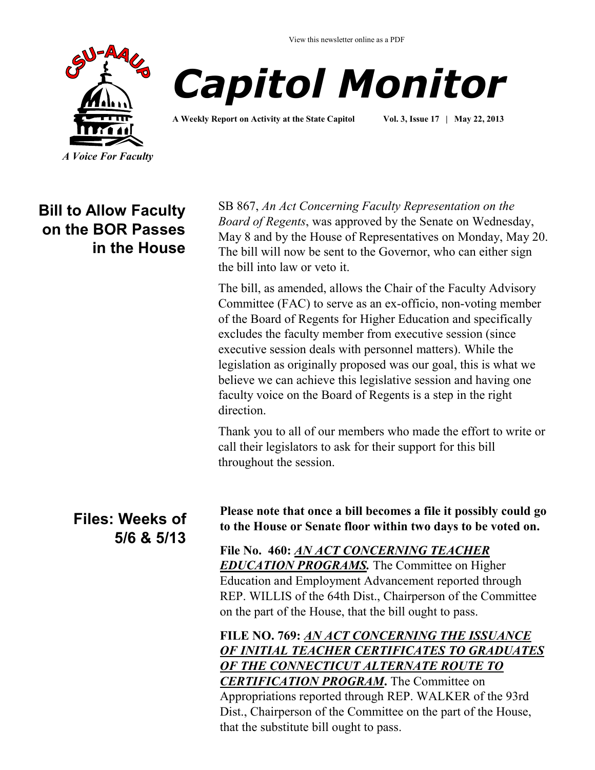View this newsletter online as a PDF





**A Weekly Report on Activity at the State Capitol Vol. 3, Issue 17 | May 22, 2013**

## **Bill to Allow Faculty on the BOR Passes in the House**

SB 867, *An Act Concerning Faculty Representation on the Board of Regents*, was approved by the Senate on Wednesday, May 8 and by the House of Representatives on Monday, May 20. The bill will now be sent to the Governor, who can either sign the bill into law or veto it.

The bill, as amended, allows the Chair of the Faculty Advisory Committee (FAC) to serve as an ex-officio, non-voting member of the Board of Regents for Higher Education and specifically excludes the faculty member from executive session (since executive session deals with personnel matters). While the legislation as originally proposed was our goal, this is what we believe we can achieve this legislative session and having one faculty voice on the Board of Regents is a step in the right direction.

Thank you to all of our members who made the effort to write or call their legislators to ask for their support for this bill throughout the session.

### **Files: Weeks of 5/6 & 5/13**

**Please note that once a bill becomes a file it possibly could go to the House or Senate floor within two days to be voted on.**

**File No. 460:** *[AN ACT CONCERNING TEACHER](http://www.cga.ct.gov/asp/cgabillstatus/cgabillstatus.asp?selBillType=File+Copy&bill_num=460&which_year=2013&SUBMIT1.x=17&SUBMIT1.y=10&SUBMIT1=Normal)  [EDUCATION PROGRAMS.](http://www.cga.ct.gov/asp/cgabillstatus/cgabillstatus.asp?selBillType=File+Copy&bill_num=460&which_year=2013&SUBMIT1.x=17&SUBMIT1.y=10&SUBMIT1=Normal)* The Committee on Higher Education and Employment Advancement reported through REP. WILLIS of the 64th Dist., Chairperson of the Committee on the part of the House, that the bill ought to pass.

**FILE NO. 769:** *[AN ACT CONCERNING THE ISSUANCE](http://www.cga.ct.gov/asp/cgabillstatus/cgabillstatus.asp?selBillType=File+Copy&bill_num=769&which_year=2013&SUBMIT1.x=-643&SUBMIT1.y=0&SUBMIT1=Normal)  [OF INITIAL TEACHER CERTIFICATES TO GRADUATES](http://www.cga.ct.gov/asp/cgabillstatus/cgabillstatus.asp?selBillType=File+Copy&bill_num=769&which_year=2013&SUBMIT1.x=-643&SUBMIT1.y=0&SUBMIT1=Normal)  [OF THE CONNECTICUT ALTERNATE ROUTE TO](http://www.cga.ct.gov/asp/cgabillstatus/cgabillstatus.asp?selBillType=File+Copy&bill_num=769&which_year=2013&SUBMIT1.x=-643&SUBMIT1.y=0&SUBMIT1=Normal)  [CERTIFICATION PROGRAM](http://www.cga.ct.gov/asp/cgabillstatus/cgabillstatus.asp?selBillType=File+Copy&bill_num=769&which_year=2013&SUBMIT1.x=-643&SUBMIT1.y=0&SUBMIT1=Normal)***.** The Committee on Appropriations reported through REP. WALKER of the 93rd Dist., Chairperson of the Committee on the part of the House, that the substitute bill ought to pass.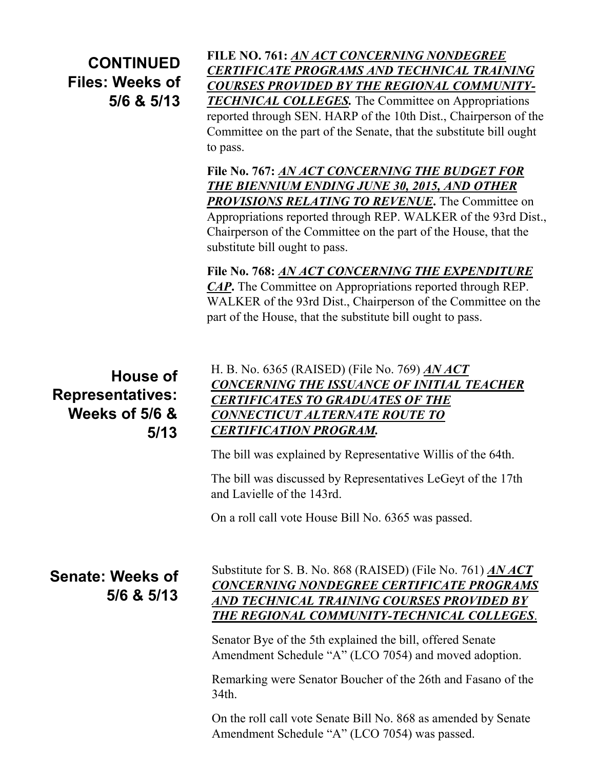**CONTINUED Files: Weeks of 5/6 & 5/13**

**FILE NO. 761:** *[AN ACT CONCERNING NONDEGREE](http://www.cga.ct.gov/asp/cgabillstatus/cgabillstatus.asp?selBillType=File+Copy&bill_num=761&which_year=2013&SUBMIT1.x=-643&SUBMIT1.y=0&SUBMIT1=Normal)  [CERTIFICATE PROGRAMS AND TECHNICAL TRAINING](http://www.cga.ct.gov/asp/cgabillstatus/cgabillstatus.asp?selBillType=File+Copy&bill_num=761&which_year=2013&SUBMIT1.x=-643&SUBMIT1.y=0&SUBMIT1=Normal)  [COURSES PROVIDED BY THE REGIONAL COMMUNITY-](http://www.cga.ct.gov/asp/cgabillstatus/cgabillstatus.asp?selBillType=File+Copy&bill_num=761&which_year=2013&SUBMIT1.x=-643&SUBMIT1.y=0&SUBMIT1=Normal)[TECHNICAL COLLEGES.](http://www.cga.ct.gov/asp/cgabillstatus/cgabillstatus.asp?selBillType=File+Copy&bill_num=761&which_year=2013&SUBMIT1.x=-643&SUBMIT1.y=0&SUBMIT1=Normal)* The Committee on Appropriations reported through SEN. HARP of the 10th Dist., Chairperson of the Committee on the part of the Senate, that the substitute bill ought to pass.

**File No. 767:** *[AN ACT CONCERNING THE BUDGET FOR](http://www.cga.ct.gov/asp/cgabillstatus/cgabillstatus.asp?selBillType=File+Copy&bill_num=767&which_year=2013&SUBMIT1.x=6&SUBMIT1.y=6&SUBMIT1=Normal)  [THE BIENNIUM ENDING JUNE 30, 2015, AND OTHER](http://www.cga.ct.gov/asp/cgabillstatus/cgabillstatus.asp?selBillType=File+Copy&bill_num=767&which_year=2013&SUBMIT1.x=6&SUBMIT1.y=6&SUBMIT1=Normal)  [PROVISIONS RELATING TO REVENUE](http://www.cga.ct.gov/asp/cgabillstatus/cgabillstatus.asp?selBillType=File+Copy&bill_num=767&which_year=2013&SUBMIT1.x=6&SUBMIT1.y=6&SUBMIT1=Normal)***.** The Committee on Appropriations reported through REP. WALKER of the 93rd Dist., Chairperson of the Committee on the part of the House, that the substitute bill ought to pass.

**File No. 768:** *[AN ACT CONCERNING THE EXPENDITURE](http://www.cga.ct.gov/asp/cgabillstatus/cgabillstatus.asp?selBillType=File+Copy&bill_num=768&which_year=2013&SUBMIT1.x=11&SUBMIT1.y=11&SUBMIT1=Normal)  [CAP](http://www.cga.ct.gov/asp/cgabillstatus/cgabillstatus.asp?selBillType=File+Copy&bill_num=768&which_year=2013&SUBMIT1.x=11&SUBMIT1.y=11&SUBMIT1=Normal)***.** The Committee on Appropriations reported through REP. WALKER of the 93rd Dist., Chairperson of the Committee on the part of the House, that the substitute bill ought to pass.

**House of Representatives: Weeks of 5/6 & 5/13**

#### H. B. No. 6365 (RAISED) (File No. 769) *[AN ACT](http://www.cga.ct.gov/asp/cgabillstatus/cgabillstatus.asp?selBillType=File+Copy&bill_num=769&which_year=2013&SUBMIT1.x=-643&SUBMIT1.y=0&SUBMIT1=Normal)  [CONCERNING THE ISSUANCE OF INITIAL TEACHER](http://www.cga.ct.gov/asp/cgabillstatus/cgabillstatus.asp?selBillType=File+Copy&bill_num=769&which_year=2013&SUBMIT1.x=-643&SUBMIT1.y=0&SUBMIT1=Normal)  [CERTIFICATES TO GRADUATES OF THE](http://www.cga.ct.gov/asp/cgabillstatus/cgabillstatus.asp?selBillType=File+Copy&bill_num=769&which_year=2013&SUBMIT1.x=-643&SUBMIT1.y=0&SUBMIT1=Normal)  [CONNECTICUT ALTERNATE ROUTE TO](http://www.cga.ct.gov/asp/cgabillstatus/cgabillstatus.asp?selBillType=File+Copy&bill_num=769&which_year=2013&SUBMIT1.x=-643&SUBMIT1.y=0&SUBMIT1=Normal)  [CERTIFICATION PROGRAM.](http://www.cga.ct.gov/asp/cgabillstatus/cgabillstatus.asp?selBillType=File+Copy&bill_num=769&which_year=2013&SUBMIT1.x=-643&SUBMIT1.y=0&SUBMIT1=Normal)*

The bill was explained by Representative Willis of the 64th.

The bill was discussed by Representatives LeGeyt of the 17th and Lavielle of the 143rd.

On a roll call vote House Bill No. 6365 was passed.

**Senate: Weeks of 5/6 & 5/13**

#### Substitute for S. B. No. 868 (RAISED) (File No. 761) *[AN ACT](http://www.cga.ct.gov/asp/cgabillstatus/cgabillstatus.asp?selBillType=File+Copy&bill_num=761&which_year=2013&SUBMIT1.x=-643&SUBMIT1.y=0&SUBMIT1=Normal)  [CONCERNING NONDEGREE CERTIFICATE PROGRAMS](http://www.cga.ct.gov/asp/cgabillstatus/cgabillstatus.asp?selBillType=File+Copy&bill_num=761&which_year=2013&SUBMIT1.x=-643&SUBMIT1.y=0&SUBMIT1=Normal)  [AND TECHNICAL TRAINING COURSES PROVIDED BY](http://www.cga.ct.gov/asp/cgabillstatus/cgabillstatus.asp?selBillType=File+Copy&bill_num=761&which_year=2013&SUBMIT1.x=-643&SUBMIT1.y=0&SUBMIT1=Normal)  [THE REGIONAL COMMUNITY-TECHNICAL COLLEGES](http://www.cga.ct.gov/asp/cgabillstatus/cgabillstatus.asp?selBillType=File+Copy&bill_num=761&which_year=2013&SUBMIT1.x=-643&SUBMIT1.y=0&SUBMIT1=Normal)*.

Senator Bye of the 5th explained the bill, offered Senate Amendment Schedule "A" (LCO 7054) and moved adoption.

Remarking were Senator Boucher of the 26th and Fasano of the 34th.

On the roll call vote Senate Bill No. 868 as amended by Senate Amendment Schedule "A" (LCO 7054) was passed.